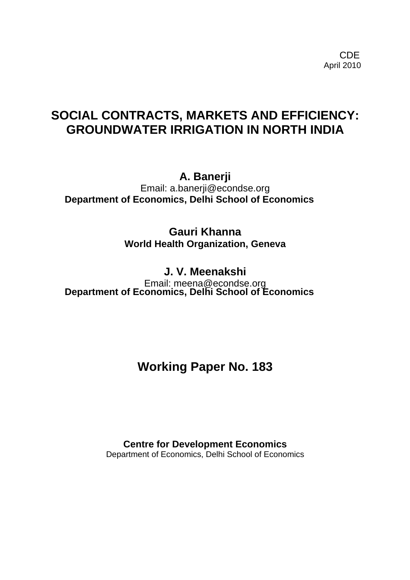**CDE** the contract of the contract of the contract of the contract of the contract of the contract of the contract of the contract of the contract of the contract of the contract of the contract of the contract of the cont April 2010

# **SOCIAL CONTRACTS, MARKETS AND EFFICIENCY: GROUNDWATER IRRIGATION IN NORTH INDIA**

**A. Banerji** 

Email: a.banerji@econdse.org **Department of Economics, Delhi School of Economics**

> **Gauri Khanna World Health Organization, Geneva**

> > **J. V. Meenakshi**

Email: meena@econdse.org **Department of Economics, Delhi School of Economics**

**Working Paper No. 183** 

**Centre for Development Economics**  Department of Economics, Delhi School of Economics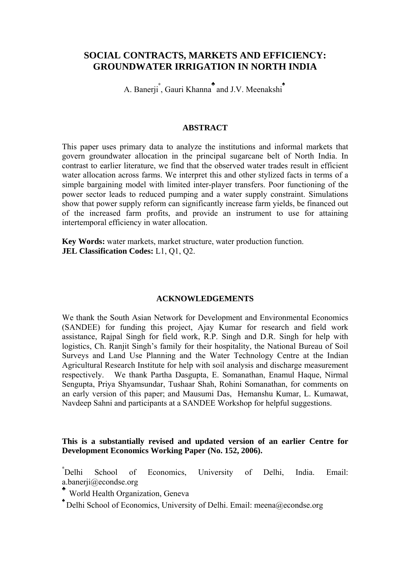# **SOCIAL CONTRACTS, MARKETS AND EFFICIENCY: GROUNDWATER IRRIGATION IN NORTH INDIA**

A. Banerji<sup>\*</sup>, Gauri Khanna<sup>\*</sup> and J.V. Meenakshi<sup>\*</sup>

## **ABSTRACT**

This paper uses primary data to analyze the institutions and informal markets that govern groundwater allocation in the principal sugarcane belt of North India. In contrast to earlier literature, we find that the observed water trades result in efficient water allocation across farms. We interpret this and other stylized facts in terms of a simple bargaining model with limited inter-player transfers. Poor functioning of the power sector leads to reduced pumping and a water supply constraint. Simulations show that power supply reform can significantly increase farm yields, be financed out of the increased farm profits, and provide an instrument to use for attaining intertemporal efficiency in water allocation.

**Key Words:** water markets, market structure, water production function. **JEL Classification Codes:** L1, Q1, Q2.

## **ACKNOWLEDGEMENTS**

We thank the South Asian Network for Development and Environmental Economics (SANDEE) for funding this project, Ajay Kumar for research and field work assistance, Rajpal Singh for field work, R.P. Singh and D.R. Singh for help with logistics, Ch. Ranjit Singh's family for their hospitality, the National Bureau of Soil Surveys and Land Use Planning and the Water Technology Centre at the Indian Agricultural Research Institute for help with soil analysis and discharge measurement respectively. We thank Partha Dasgupta, E. Somanathan, Enamul Haque, Nirmal Sengupta, Priya Shyamsundar, Tushaar Shah, Rohini Somanathan, for comments on an early version of this paper; and Mausumi Das, Hemanshu Kumar, L. Kumawat, Navdeep Sahni and participants at a SANDEE Workshop for helpful suggestions.

## **This is a substantially revised and updated version of an earlier Centre for Development Economics Working Paper (No. 152, 2006).**

∗ School of Economics, University of Delhi, India. Email: a.banerji@econdse.org

♣ World Health Organization, Geneva

♠ Delhi School of Economics, University of Delhi. Email: meena@econdse.org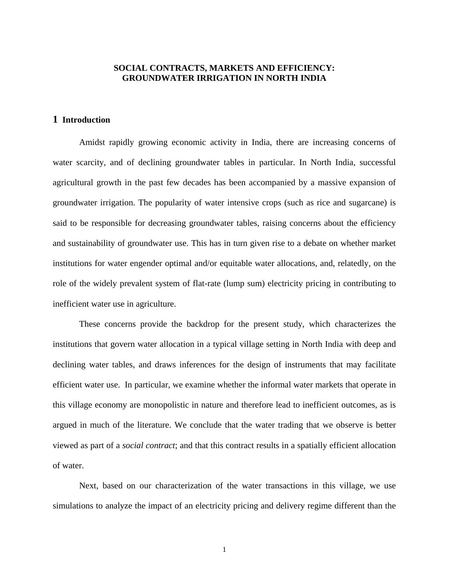## **SOCIAL CONTRACTS, MARKETS AND EFFICIENCY: GROUNDWATER IRRIGATION IN NORTH INDIA**

#### **1 Introduction**

Amidst rapidly growing economic activity in India, there are increasing concerns of water scarcity, and of declining groundwater tables in particular. In North India, successful agricultural growth in the past few decades has been accompanied by a massive expansion of groundwater irrigation. The popularity of water intensive crops (such as rice and sugarcane) is said to be responsible for decreasing groundwater tables, raising concerns about the efficiency and sustainability of groundwater use. This has in turn given rise to a debate on whether market institutions for water engender optimal and/or equitable water allocations, and, relatedly, on the role of the widely prevalent system of flat-rate (lump sum) electricity pricing in contributing to inefficient water use in agriculture.

These concerns provide the backdrop for the present study, which characterizes the institutions that govern water allocation in a typical village setting in North India with deep and declining water tables, and draws inferences for the design of instruments that may facilitate efficient water use. In particular, we examine whether the informal water markets that operate in this village economy are monopolistic in nature and therefore lead to inefficient outcomes, as is argued in much of the literature. We conclude that the water trading that we observe is better viewed as part of a *social contract*; and that this contract results in a spatially efficient allocation of water.

Next, based on our characterization of the water transactions in this village, we use simulations to analyze the impact of an electricity pricing and delivery regime different than the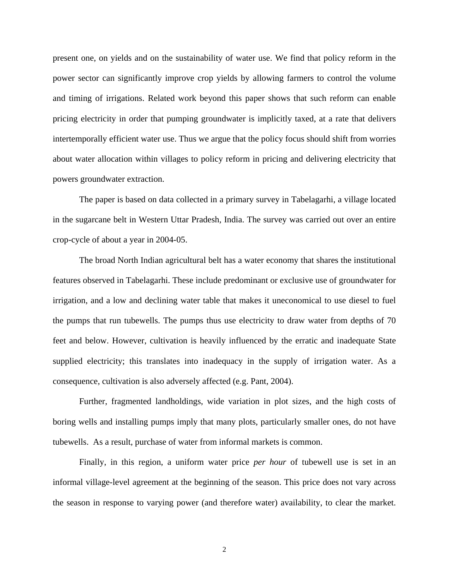present one, on yields and on the sustainability of water use. We find that policy reform in the power sector can significantly improve crop yields by allowing farmers to control the volume and timing of irrigations. Related work beyond this paper shows that such reform can enable pricing electricity in order that pumping groundwater is implicitly taxed, at a rate that delivers intertemporally efficient water use. Thus we argue that the policy focus should shift from worries about water allocation within villages to policy reform in pricing and delivering electricity that powers groundwater extraction.

The paper is based on data collected in a primary survey in Tabelagarhi, a village located in the sugarcane belt in Western Uttar Pradesh, India. The survey was carried out over an entire crop-cycle of about a year in 2004-05.

The broad North Indian agricultural belt has a water economy that shares the institutional features observed in Tabelagarhi. These include predominant or exclusive use of groundwater for irrigation, and a low and declining water table that makes it uneconomical to use diesel to fuel the pumps that run tubewells. The pumps thus use electricity to draw water from depths of 70 feet and below. However, cultivation is heavily influenced by the erratic and inadequate State supplied electricity; this translates into inadequacy in the supply of irrigation water. As a consequence, cultivation is also adversely affected (e.g. Pant, 2004).

Further, fragmented landholdings, wide variation in plot sizes, and the high costs of boring wells and installing pumps imply that many plots, particularly smaller ones, do not have tubewells. As a result, purchase of water from informal markets is common.

Finally, in this region, a uniform water price *per hour* of tubewell use is set in an informal village-level agreement at the beginning of the season. This price does not vary across the season in response to varying power (and therefore water) availability, to clear the market.

2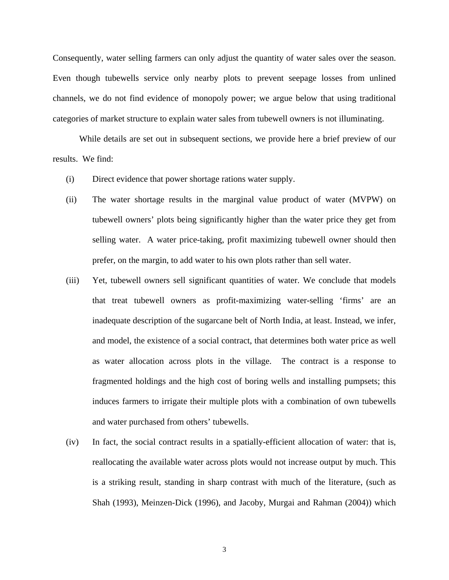Consequently, water selling farmers can only adjust the quantity of water sales over the season. Even though tubewells service only nearby plots to prevent seepage losses from unlined channels, we do not find evidence of monopoly power; we argue below that using traditional categories of market structure to explain water sales from tubewell owners is not illuminating.

While details are set out in subsequent sections, we provide here a brief preview of our results. We find:

- (i) Direct evidence that power shortage rations water supply.
- (ii) The water shortage results in the marginal value product of water (MVPW) on tubewell owners' plots being significantly higher than the water price they get from selling water. A water price-taking, profit maximizing tubewell owner should then prefer, on the margin, to add water to his own plots rather than sell water.
- (iii) Yet, tubewell owners sell significant quantities of water. We conclude that models that treat tubewell owners as profit-maximizing water-selling 'firms' are an inadequate description of the sugarcane belt of North India, at least. Instead, we infer, and model, the existence of a social contract, that determines both water price as well as water allocation across plots in the village. The contract is a response to fragmented holdings and the high cost of boring wells and installing pumpsets; this induces farmers to irrigate their multiple plots with a combination of own tubewells and water purchased from others' tubewells.
- (iv) In fact, the social contract results in a spatially-efficient allocation of water: that is, reallocating the available water across plots would not increase output by much. This is a striking result, standing in sharp contrast with much of the literature, (such as Shah (1993), Meinzen-Dick (1996), and Jacoby, Murgai and Rahman (2004)) which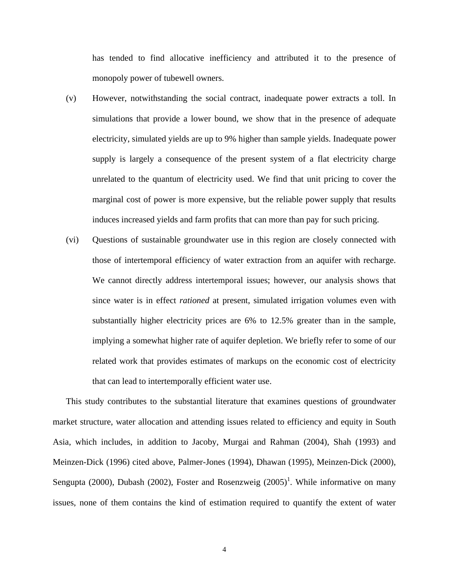has tended to find allocative inefficiency and attributed it to the presence of monopoly power of tubewell owners.

- (v) However, notwithstanding the social contract, inadequate power extracts a toll. In simulations that provide a lower bound, we show that in the presence of adequate electricity, simulated yields are up to 9% higher than sample yields. Inadequate power supply is largely a consequence of the present system of a flat electricity charge unrelated to the quantum of electricity used. We find that unit pricing to cover the marginal cost of power is more expensive, but the reliable power supply that results induces increased yields and farm profits that can more than pay for such pricing.
- (vi) Questions of sustainable groundwater use in this region are closely connected with those of intertemporal efficiency of water extraction from an aquifer with recharge. We cannot directly address intertemporal issues; however, our analysis shows that since water is in effect *rationed* at present, simulated irrigation volumes even with substantially higher electricity prices are 6% to 12.5% greater than in the sample, implying a somewhat higher rate of aquifer depletion. We briefly refer to some of our related work that provides estimates of markups on the economic cost of electricity that can lead to intertemporally efficient water use.

<span id="page-5-0"></span>This study contributes to the substantial literature that examines questions of groundwater market structure, water allocation and attending issues related to efficiency and equity in South Asia, which includes, in addition to Jacoby, Murgai and Rahman (2004), Shah (1993) and Meinzen-Dick (1996) cited above, Palmer-Jones (1994), Dhawan (1995), Meinzen-Dick (2000), Sengupta (2000), Dubash (2002), Foster and Rosenzweig  $(2005)^1$  $(2005)^1$ . While informative on many issues, none of them contains the kind of estimation required to quantify the extent of water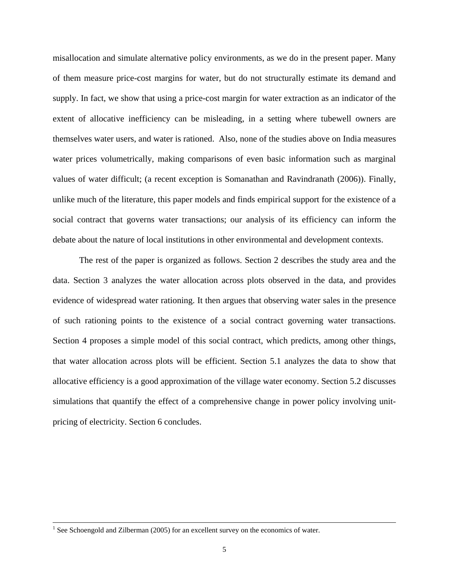misallocation and simulate alternative policy environments, as we do in the present paper. Many of them measure price-cost margins for water, but do not structurally estimate its demand and supply. In fact, we show that using a price-cost margin for water extraction as an indicator of the extent of allocative inefficiency can be misleading, in a setting where tubewell owners are themselves water users, and water is rationed. Also, none of the studies above on India measures water prices volumetrically, making comparisons of even basic information such as marginal values of water difficult; (a recent exception is Somanathan and Ravindranath (2006)). Finally, unlike much of the literature, this paper models and finds empirical support for the existence of a social contract that governs water transactions; our analysis of its efficiency can inform the debate about the nature of local institutions in other environmental and development contexts.

The rest of the paper is organized as follows. Section 2 describes the study area and the data. Section 3 analyzes the water allocation across plots observed in the data, and provides evidence of widespread water rationing. It then argues that observing water sales in the presence of such rationing points to the existence of a social contract governing water transactions. Section 4 proposes a simple model of this social contract, which predicts, among other things, that water allocation across plots will be efficient. Section 5.1 analyzes the data to show that allocative efficiency is a good approximation of the village water economy. Section 5.2 discusses simulations that quantify the effect of a comprehensive change in power policy involving unitpricing of electricity. Section 6 concludes.

 $\frac{1}{1}$  $<sup>1</sup>$  See Schoengold and Zilberman (2005) for an excellent survey on the economics of water.</sup>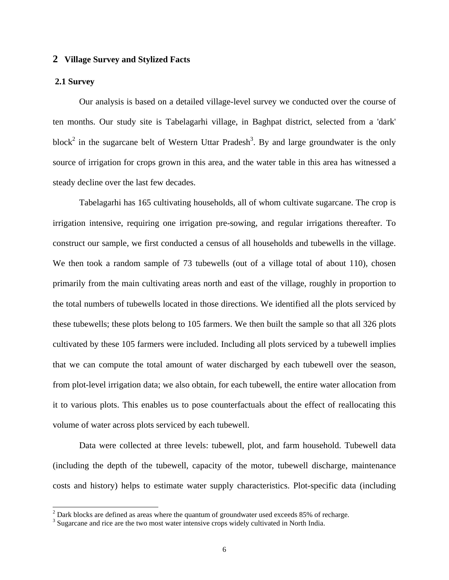#### **2 Village Survey and Stylized Facts**

#### **2.1 Survey**

Our analysis is based on a detailed village-level survey we conducted over the course of ten months. Our study site is Tabelagarhi village, in Baghpat district, selected from a 'dark' block<sup>2</sup> in the sugarcane belt of Western Uttar Pradesh<sup>[3](#page-7-1)</sup>. By and large groundwater is the only source of irrigation for crops grown in this area, and the water table in this area has witnessed a steady decline over the last few decades.

Tabelagarhi has 165 cultivating households, all of whom cultivate sugarcane. The crop is irrigation intensive, requiring one irrigation pre-sowing, and regular irrigations thereafter. To construct our sample, we first conducted a census of all households and tubewells in the village. We then took a random sample of 73 tubewells (out of a village total of about 110), chosen primarily from the main cultivating areas north and east of the village, roughly in proportion to the total numbers of tubewells located in those directions. We identified all the plots serviced by these tubewells; these plots belong to 105 farmers. We then built the sample so that all 326 plots cultivated by these 105 farmers were included. Including all plots serviced by a tubewell implies that we can compute the total amount of water discharged by each tubewell over the season, from plot-level irrigation data; we also obtain, for each tubewell, the entire water allocation from it to various plots. This enables us to pose counterfactuals about the effect of reallocating this volume of water across plots serviced by each tubewell.

Data were collected at three levels: tubewell, plot, and farm household. Tubewell data (including the depth of the tubewell, capacity of the motor, tubewell discharge, maintenance costs and history) helps to estimate water supply characteristics. Plot-specific data (including

<span id="page-7-0"></span> $\frac{1}{2}$  $2$  Dark blocks are defined as areas where the quantum of groundwater used exceeds 85% of recharge.

<span id="page-7-1"></span> $3$  Sugarcane and rice are the two most water intensive crops widely cultivated in North India.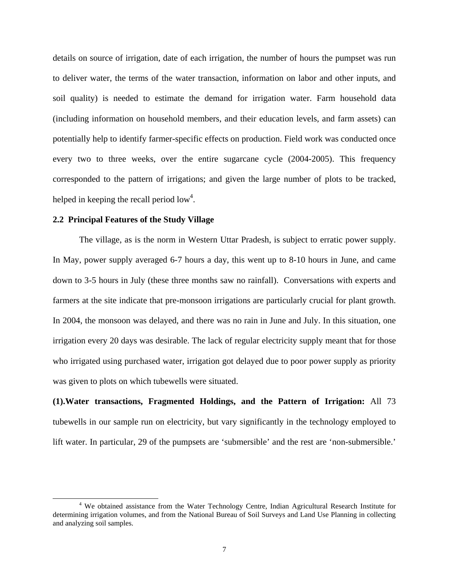details on source of irrigation, date of each irrigation, the number of hours the pumpset was run to deliver water, the terms of the water transaction, information on labor and other inputs, and soil quality) is needed to estimate the demand for irrigation water. Farm household data (including information on household members, and their education levels, and farm assets) can potentially help to identify farmer-specific effects on production. Field work was conducted once every two to three weeks, over the entire sugarcane cycle (2004-2005). This frequency corresponded to the pattern of irrigations; and given the large number of plots to be tracked, helped in keeping the recall period  $\text{low}^4$ .

#### **2.2 Principal Features of the Study Village**

The village, as is the norm in Western Uttar Pradesh, is subject to erratic power supply. In May, power supply averaged 6-7 hours a day, this went up to 8-10 hours in June, and came down to 3-5 hours in July (these three months saw no rainfall). Conversations with experts and farmers at the site indicate that pre-monsoon irrigations are particularly crucial for plant growth. In 2004, the monsoon was delayed, and there was no rain in June and July. In this situation, one irrigation every 20 days was desirable. The lack of regular electricity supply meant that for those who irrigated using purchased water, irrigation got delayed due to poor power supply as priority was given to plots on which tubewells were situated.

**(1).Water transactions, Fragmented Holdings, and the Pattern of Irrigation:** All 73 tubewells in our sample run on electricity, but vary significantly in the technology employed to lift water. In particular, 29 of the pumpsets are 'submersible' and the rest are 'non-submersible.'

<span id="page-8-0"></span><sup>&</sup>lt;sup>4</sup> We obtained assistance from the Water Technology Centre, Indian Agricultural Research Institute for determining irrigation volumes, and from the National Bureau of Soil Surveys and Land Use Planning in collecting and analyzing soil samples.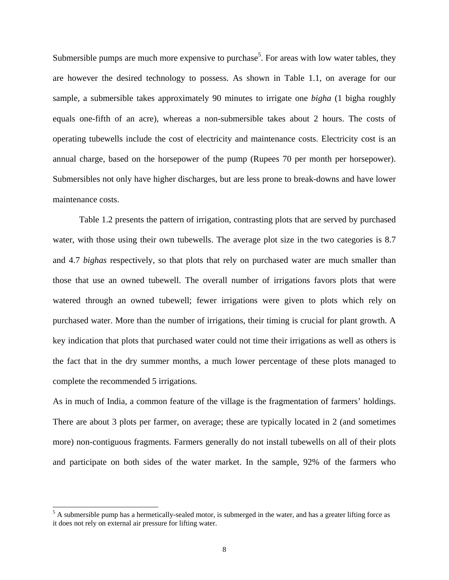Submersible pumps are much more expensive to purchase<sup>5</sup>. For areas with low water tables, they are however the desired technology to possess. As shown in Table 1.1, on average for our sample, a submersible takes approximately 90 minutes to irrigate one *bigha* (1 bigha roughly equals one-fifth of an acre), whereas a non-submersible takes about 2 hours. The costs of operating tubewells include the cost of electricity and maintenance costs. Electricity cost is an annual charge, based on the horsepower of the pump (Rupees 70 per month per horsepower). Submersibles not only have higher discharges, but are less prone to break-downs and have lower maintenance costs.

Table 1.2 presents the pattern of irrigation, contrasting plots that are served by purchased water, with those using their own tubewells. The average plot size in the two categories is 8.7 and 4.7 *bighas* respectively, so that plots that rely on purchased water are much smaller than those that use an owned tubewell. The overall number of irrigations favors plots that were watered through an owned tubewell; fewer irrigations were given to plots which rely on purchased water. More than the number of irrigations, their timing is crucial for plant growth. A key indication that plots that purchased water could not time their irrigations as well as others is the fact that in the dry summer months, a much lower percentage of these plots managed to complete the recommended 5 irrigations.

As in much of India, a common feature of the village is the fragmentation of farmers' holdings. There are about 3 plots per farmer, on average; these are typically located in 2 (and sometimes more) non-contiguous fragments. Farmers generally do not install tubewells on all of their plots and participate on both sides of the water market. In the sample, 92% of the farmers who

<span id="page-9-0"></span> <sup>5</sup> <sup>5</sup> A submersible pump has a hermetically-sealed motor, is submerged in the water, and has a greater lifting force as it does not rely on external air pressure for lifting water.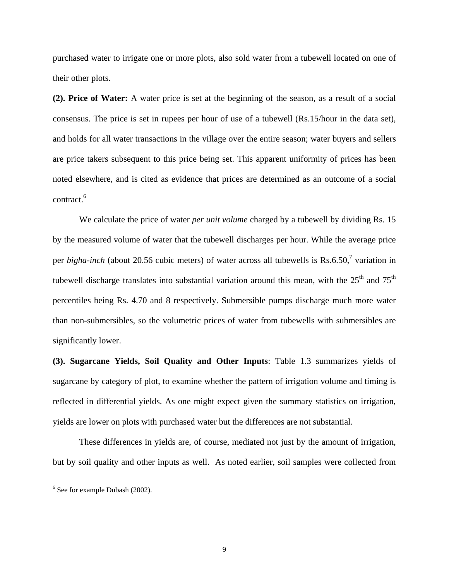purchased water to irrigate one or more plots, also sold water from a tubewell located on one of their other plots.

**(2). Price of Water:** A water price is set at the beginning of the season, as a result of a social consensus. The price is set in rupees per hour of use of a tubewell (Rs.15/hour in the data set), and holds for all water transactions in the village over the entire season; water buyers and sellers are price takers subsequent to this price being set. This apparent uniformity of prices has been noted elsewhere, and is cited as evidence that prices are determined as an outcome of a social contract.<sup>[6](#page-10-0)</sup>

We calculate the price of water *per unit volume* charged by a tubewell by dividing Rs. 15 by the measured volume of water that the tubewell discharges per hour. While the average price per *bigha-inch* (about 20.56 cubic meters) of water across all tubewells is Rs.6.50,<sup>7</sup> variation in tubewell discharge translates into substantial variation around this mean, with the  $25<sup>th</sup>$  and  $75<sup>th</sup>$ percentiles being Rs. 4.70 and 8 respectively. Submersible pumps discharge much more water than non-submersibles, so the volumetric prices of water from tubewells with submersibles are significantly lower.

**(3). Sugarcane Yields, Soil Quality and Other Inputs**: Table 1.3 summarizes yields of sugarcane by category of plot, to examine whether the pattern of irrigation volume and timing is reflected in differential yields. As one might expect given the summary statistics on irrigation, yields are lower on plots with purchased water but the differences are not substantial.

These differences in yields are, of course, mediated not just by the amount of irrigation, but by soil quality and other inputs as well. As noted earlier, soil samples were collected from

<span id="page-10-1"></span><span id="page-10-0"></span> <sup>6</sup>  $6$  See for example Dubash (2002).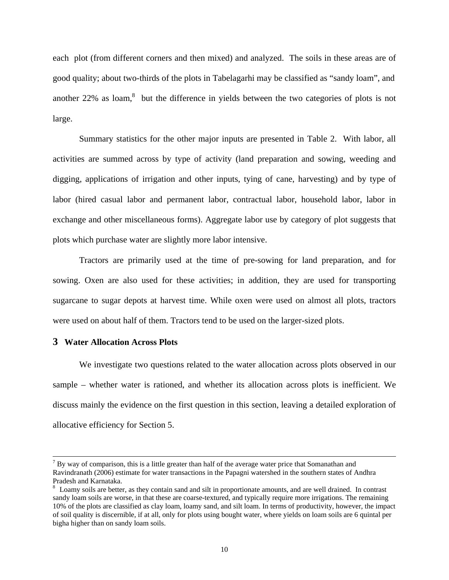each plot (from different corners and then mixed) and analyzed. The soils in these areas are of good quality; about two-thirds of the plots in Tabelagarhi may be classified as "sandy loam", and another 22% as loam, ${}^{8}$  ${}^{8}$  ${}^{8}$  but the difference in yields between the two categories of plots is not large.

Summary statistics for the other major inputs are presented in Table 2. With labor, all activities are summed across by type of activity (land preparation and sowing, weeding and digging, applications of irrigation and other inputs, tying of cane, harvesting) and by type of labor (hired casual labor and permanent labor, contractual labor, household labor, labor in exchange and other miscellaneous forms). Aggregate labor use by category of plot suggests that plots which purchase water are slightly more labor intensive.

Tractors are primarily used at the time of pre-sowing for land preparation, and for sowing. Oxen are also used for these activities; in addition, they are used for transporting sugarcane to sugar depots at harvest time. While oxen were used on almost all plots, tractors were used on about half of them. Tractors tend to be used on the larger-sized plots.

## **3 Water Allocation Across Plots**

We investigate two questions related to the water allocation across plots observed in our sample – whether water is rationed, and whether its allocation across plots is inefficient. We discuss mainly the evidence on the first question in this section, leaving a detailed exploration of allocative efficiency for Section 5.

<sup>-&</sup>lt;br>7  $B<sup>7</sup>$  By way of comparison, this is a little greater than half of the average water price that Somanathan and Ravindranath (2006) estimate for water transactions in the Papagni watershed in the southern states of Andhra Pradesh and Karnataka.

<span id="page-11-0"></span>Loamy soils are better, as they contain sand and silt in proportionate amounts, and are well drained. In contrast sandy loam soils are worse, in that these are coarse-textured, and typically require more irrigations. The remaining 10% of the plots are classified as clay loam, loamy sand, and silt loam. In terms of productivity, however, the impact of soil quality is discernible, if at all, only for plots using bought water, where yields on loam soils are 6 quintal per bigha higher than on sandy loam soils.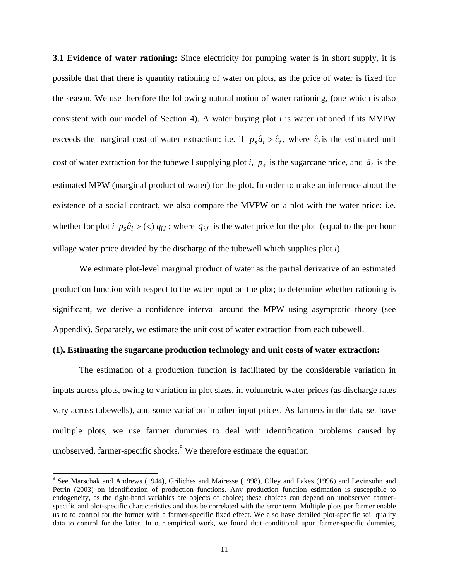**3.1 Evidence of water rationing:** Since electricity for pumping water is in short supply, it is possible that that there is quantity rationing of water on plots, as the price of water is fixed for the season. We use therefore the following natural notion of water rationing, (one which is also consistent with our model of Section 4). A water buying plot *i* is water rationed if its MVPW exceeds the marginal cost of water extraction: i.e. if  $p_s \hat{a}_i > \hat{c}_t$ , where  $\hat{c}_t$  is the estimated unit cost of water extraction for the tubewell supplying plot *i*,  $p_s$  is the sugarcane price, and  $\hat{a}_i$  is the estimated MPW (marginal product of water) for the plot. In order to make an inference about the existence of a social contract, we also compare the MVPW on a plot with the water price: i.e. whether for plot *i*  $p_s \hat{a}_i > \langle \langle \rangle q_i$ ; where  $q_i$  is the water price for the plot (equal to the per hour village water price divided by the discharge of the tubewell which supplies plot *i*).

We estimate plot-level marginal product of water as the partial derivative of an estimated production function with respect to the water input on the plot; to determine whether rationing is significant, we derive a confidence interval around the MPW using asymptotic theory (see Appendix). Separately, we estimate the unit cost of water extraction from each tubewell.

### **(1). Estimating the sugarcane production technology and unit costs of water extraction:**

The estimation of a production function is facilitated by the considerable variation in inputs across plots, owing to variation in plot sizes, in volumetric water prices (as discharge rates vary across tubewells), and some variation in other input prices. As farmers in the data set have multiple plots, we use farmer dummies to deal with identification problems caused by unobserved, farmer-specific shocks. $9$  We therefore estimate the equation

<span id="page-12-0"></span><sup>.&</sup>lt;br>9 <sup>9</sup> See Marschak and Andrews (1944), Griliches and Mairesse (1998), Olley and Pakes (1996) and Levinsohn and Petrin (2003) on identification of production functions. Any production function estimation is susceptible to endogeneity, as the right-hand variables are objects of choice; these choices can depend on unobserved farmerspecific and plot-specific characteristics and thus be correlated with the error term. Multiple plots per farmer enable us to to control for the former with a farmer-specific fixed effect. We also have detailed plot-specific soil quality data to control for the latter. In our empirical work, we found that conditional upon farmer-specific dummies,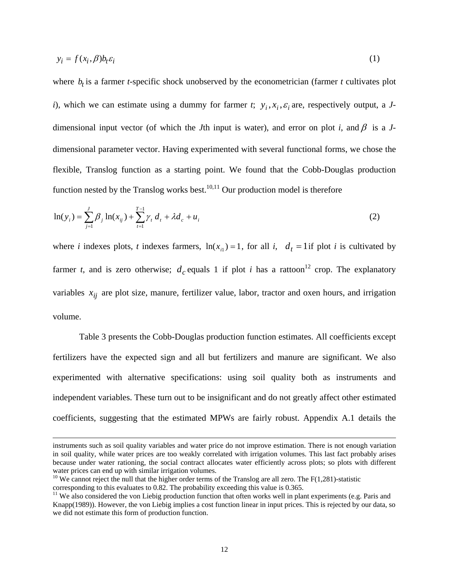$$
y_i = f(x_i, \beta) b_t \varepsilon_i \tag{1}
$$

where  $b_t$  is a farmer *t*-specific shock unobserved by the econometrician (farmer *t* cultivates plot *i*), which we can estimate using a dummy for farmer *t*;  $y_i$ ,  $x_i$ ,  $\varepsilon$ <sub>i</sub> are, respectively output, a *J*dimensional input vector (of which the *J*th input is water), and error on plot *i*, and  $\beta$  is a *J*dimensional parameter vector. Having experimented with several functional forms, we chose the flexible, Translog function as a starting point. We found that the Cobb-Douglas production function nested by the Translog works best.<sup>10,11</sup> Our production model is therefore

$$
\ln(y_i) = \sum_{j=1}^{J} \beta_j \ln(x_{ij}) + \sum_{t=1}^{T-1} \gamma_t d_t + \lambda d_t + u_i
$$
 (2)

where *i* indexes plots, *t* indexes farmers,  $\ln(x_i) = 1$ , for all *i*,  $d_t = 1$  if plot *i* is cultivated by farmer *t*, and is zero otherwise;  $d_c$  equals 1 if plot *i* has a rattoon<sup>12</sup> crop. The explanatory variables  $x_{ij}$  are plot size, manure, fertilizer value, labor, tractor and oxen hours, and irrigation volume.

Table 3 presents the Cobb-Douglas production function estimates. All coefficients except fertilizers have the expected sign and all but fertilizers and manure are significant. We also experimented with alternative specifications: using soil quality both as instruments and independent variables. These turn out to be insignificant and do not greatly affect other estimated coefficients, suggesting that the estimated MPWs are fairly robust. Appendix A.1 details the

 $\overline{a}$ 

instruments such as soil quality variables and water price do not improve estimation. There is not enough variation in soil quality, while water prices are too weakly correlated with irrigation volumes. This last fact probably arises because under water rationing, the social contract allocates water efficiently across plots; so plots with different water prices can end up with similar irrigation volumes.<br><sup>10</sup> We cannot reject the null that the higher order terms of the Translog are all zero. The F(1,281)-statistic

<span id="page-13-0"></span>corresponding to this evaluates to 0.82. The probability exceeding this value is 0.365.<br><sup>11</sup> We also considered the von Liebig production function that often works well in plant experiments (e.g. Paris and

<span id="page-13-2"></span><span id="page-13-1"></span>Knapp(1989)). However, the von Liebig implies a cost function linear in input prices. This is rejected by our data, so we did not estimate this form of production function.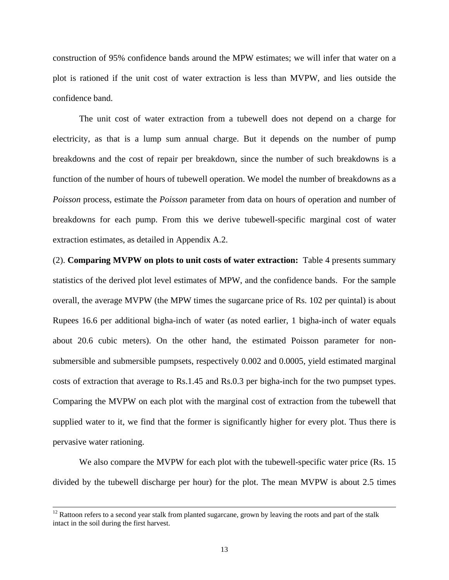construction of 95% confidence bands around the MPW estimates; we will infer that water on a plot is rationed if the unit cost of water extraction is less than MVPW, and lies outside the confidence band.

The unit cost of water extraction from a tubewell does not depend on a charge for electricity, as that is a lump sum annual charge. But it depends on the number of pump breakdowns and the cost of repair per breakdown, since the number of such breakdowns is a function of the number of hours of tubewell operation. We model the number of breakdowns as a *Poisson* process, estimate the *Poisson* parameter from data on hours of operation and number of breakdowns for each pump. From this we derive tubewell-specific marginal cost of water extraction estimates, as detailed in Appendix A.2.

(2). **Comparing MVPW on plots to unit costs of water extraction:** Table 4 presents summary statistics of the derived plot level estimates of MPW, and the confidence bands. For the sample overall, the average MVPW (the MPW times the sugarcane price of Rs. 102 per quintal) is about Rupees 16.6 per additional bigha-inch of water (as noted earlier, 1 bigha-inch of water equals about 20.6 cubic meters). On the other hand, the estimated Poisson parameter for nonsubmersible and submersible pumpsets, respectively 0.002 and 0.0005, yield estimated marginal costs of extraction that average to Rs.1.45 and Rs.0.3 per bigha-inch for the two pumpset types. Comparing the MVPW on each plot with the marginal cost of extraction from the tubewell that supplied water to it, we find that the former is significantly higher for every plot. Thus there is pervasive water rationing.

We also compare the MVPW for each plot with the tubewell-specific water price (Rs. 15) divided by the tubewell discharge per hour) for the plot. The mean MVPW is about 2.5 times

<sup>&</sup>lt;sup>12</sup> Rattoon refers to a second year stalk from planted sugarcane, grown by leaving the roots and part of the stalk intact in the soil during the first harvest.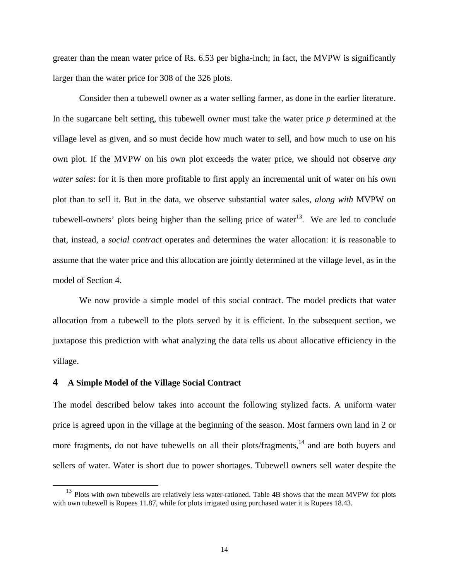greater than the mean water price of Rs. 6.53 per bigha-inch; in fact, the MVPW is significantly larger than the water price for 308 of the 326 plots.

Consider then a tubewell owner as a water selling farmer, as done in the earlier literature. In the sugarcane belt setting, this tubewell owner must take the water price *p* determined at the village level as given, and so must decide how much water to sell, and how much to use on his own plot. If the MVPW on his own plot exceeds the water price, we should not observe *any water sales*: for it is then more profitable to first apply an incremental unit of water on his own plot than to sell it. But in the data, we observe substantial water sales, *along with* MVPW on tubewell-owners' plots being higher than the selling price of water<sup>13</sup>. We are led to conclude that, instead, a *social contract* operates and determines the water allocation: it is reasonable to assume that the water price and this allocation are jointly determined at the village level, as in the model of Section 4.

We now provide a simple model of this social contract. The model predicts that water allocation from a tubewell to the plots served by it is efficient. In the subsequent section, we juxtapose this prediction with what analyzing the data tells us about allocative efficiency in the village.

## **4 A Simple Model of the Village Social Contract**

The model described below takes into account the following stylized facts. A uniform water price is agreed upon in the village at the beginning of the season. Most farmers own land in 2 or more fragments, do not have tubewells on all their plots/fragments, $14$  and are both buyers and sellers of water. Water is short due to power shortages. Tubewell owners sell water despite the

<span id="page-15-1"></span><span id="page-15-0"></span><sup>&</sup>lt;sup>13</sup> Plots with own tubewells are relatively less water-rationed. Table 4B shows that the mean MVPW for plots with own tubewell is Rupees 11.87, while for plots irrigated using purchased water it is Rupees 18.43.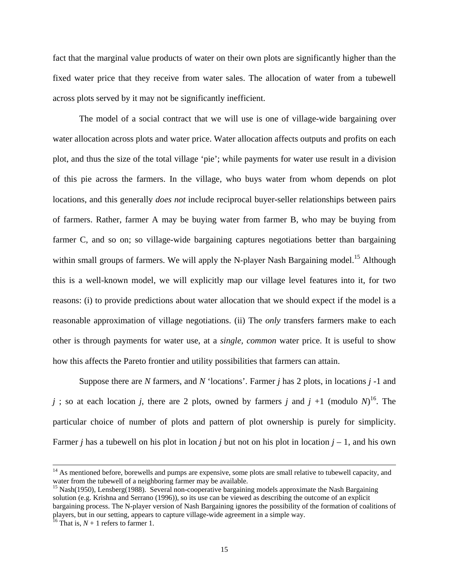fact that the marginal value products of water on their own plots are significantly higher than the fixed water price that they receive from water sales. The allocation of water from a tubewell across plots served by it may not be significantly inefficient.

The model of a social contract that we will use is one of village-wide bargaining over water allocation across plots and water price. Water allocation affects outputs and profits on each plot, and thus the size of the total village 'pie'; while payments for water use result in a division of this pie across the farmers. In the village, who buys water from whom depends on plot locations, and this generally *does not* include reciprocal buyer-seller relationships between pairs of farmers. Rather, farmer A may be buying water from farmer B, who may be buying from farmer C, and so on; so village-wide bargaining captures negotiations better than bargaining within small groups of farmers. We will apply the N-player Nash Bargaining model.<sup>15</sup> Although this is a well-known model, we will explicitly map our village level features into it, for two reasons: (i) to provide predictions about water allocation that we should expect if the model is a reasonable approximation of village negotiations. (ii) The *only* transfers farmers make to each other is through payments for water use, at a *single, common* water price. It is useful to show how this affects the Pareto frontier and utility possibilities that farmers can attain.

Suppose there are *N* farmers, and *N* 'locations'. Farmer *j* has 2 plots, in locations *j* -1 and *j*; so at each location *j*, there are 2 plots, owned by farmers *j* and *j* +1 (modulo *N*)<sup>16</sup>. The particular choice of number of plots and pattern of plot ownership is purely for simplicity. Farmer *j* has a tubewell on his plot in location *j* but not on his plot in location  $j - 1$ , and his own

 $14$  As mentioned before, borewells and pumps are expensive, some plots are small relative to tubewell capacity, and water from the tubewell of a neighboring farmer may be available.

<span id="page-16-0"></span> $^{15}$  Nash(1950), Lensberg(1988). Several non-cooperative bargaining models approximate the Nash Bargaining solution (e.g. Krishna and Serrano (1996)), so its use can be viewed as describing the outcome of an explicit bargaining process. The N-player version of Nash Bargaining ignores the possibility of the formation of coalitions of players, but in our setting, appears to capture village-wide agreement in a simple way. 16 That is, *N* + 1 refers to farmer 1.

<span id="page-16-1"></span>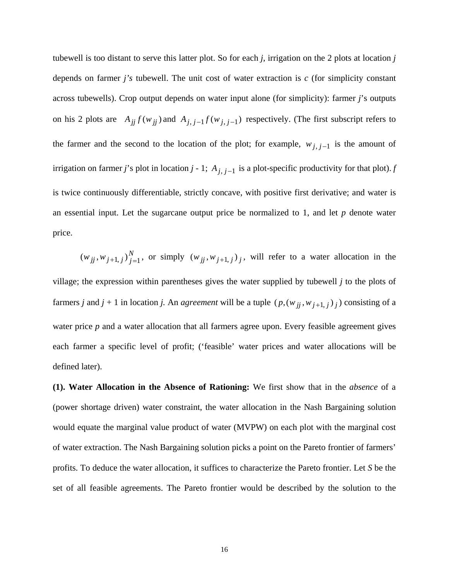tubewell is too distant to serve this latter plot. So for each *j,* irrigation on the 2 plots at location *j*  depends on farmer *j's* tubewell. The unit cost of water extraction is *c* (for simplicity constant across tubewells). Crop output depends on water input alone (for simplicity): farmer *j*'s outputs on his 2 plots are  $A_{jj} f(w_{jj})$  and  $A_{j, j-1} f(w_{j, j-1})$  respectively. (The first subscript refers to the farmer and the second to the location of the plot; for example,  $w_{j, j-1}$  is the amount of irrigation on farmer *j*'s plot in location *j* - 1;  $A_{j, j-1}$  is a plot-specific productivity for that plot). *f* is twice continuously differentiable, strictly concave, with positive first derivative; and water is an essential input. Let the sugarcane output price be normalized to 1, and let *p* denote water price.

 $(w_{jj}, w_{j+1, j})_{j=1}^N$ , or simply  $(w_{jj}, w_{j+1, j})_j$ , will refer to a water allocation in the village; the expression within parentheses gives the water supplied by tubewell *j* to the plots of farmers *j* and *j* + 1 in location *j*. An *agreement* will be a tuple  $(p, (w_{jj}, w_{j+1,j})_j)$  consisting of a water price *p* and a water allocation that all farmers agree upon. Every feasible agreement gives each farmer a specific level of profit; ('feasible' water prices and water allocations will be defined later).

**(1). Water Allocation in the Absence of Rationing:** We first show that in the *absence* of a (power shortage driven) water constraint, the water allocation in the Nash Bargaining solution would equate the marginal value product of water (MVPW) on each plot with the marginal cost of water extraction. The Nash Bargaining solution picks a point on the Pareto frontier of farmers' profits. To deduce the water allocation, it suffices to characterize the Pareto frontier. Let *S* be the set of all feasible agreements. The Pareto frontier would be described by the solution to the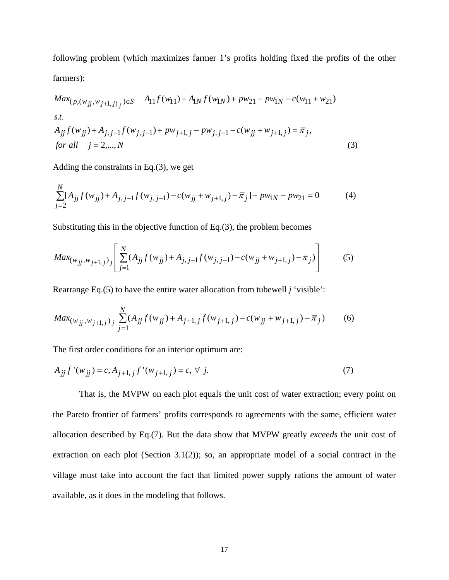following problem (which maximizes farmer 1's profits holding fixed the profits of the other farmers):

$$
Max_{(p,(w_{jj},w_{j+1,j})_j}) \in S \t A_{11}f(w_{11}) + A_{1N}f(w_{1N}) + pw_{21} - pw_{1N} - c(w_{11} + w_{21})
$$
  
s.t.  

$$
A_{jj}f(w_{jj}) + A_{j,j-1}f(w_{j,j-1}) + pw_{j+1,j} - pw_{j,j-1} - c(w_{jj} + w_{j+1,j}) = \overline{\pi}_j,
$$
  
for all  $j = 2,...,N$  (3)

Adding the constraints in Eq.(3), we get

$$
\sum_{j=2}^{N} [A_{jj} f(w_{jj}) + A_{j,j-1} f(w_{j,j-1}) - c(w_{jj} + w_{j+1,j}) - \overline{\pi}_j] + pw_{1N} - pw_{21} = 0
$$
 (4)

Substituting this in the objective function of Eq.(3), the problem becomes

$$
Max_{(w_{jj}, w_{j+1,j})_j} \left[ \sum_{j=1}^N (A_{jj} f(w_{jj}) + A_{j,j-1} f(w_{j,j-1}) - c(w_{jj} + w_{j+1,j}) - \overline{\pi}_j) \right]
$$
(5)

Rearrange Eq.(5) to have the entire water allocation from tubewell *j* 'visible':

$$
Max_{(w_{jj}, w_{j+1,j})_j} \sum_{j=1}^N (A_{jj} f(w_{jj}) + A_{j+1,j} f(w_{j+1,j}) - c(w_{jj} + w_{j+1,j}) - \overline{\pi}_j)
$$
(6)

The first order conditions for an interior optimum are:

$$
A_{jj} f'(w_{jj}) = c, A_{j+1,j} f'(w_{j+1,j}) = c, \forall j.
$$
 (7)

That is, the MVPW on each plot equals the unit cost of water extraction; every point on the Pareto frontier of farmers' profits corresponds to agreements with the same, efficient water allocation described by Eq.(7). But the data show that MVPW greatly *exceeds* the unit cost of extraction on each plot (Section 3.1(2)); so, an appropriate model of a social contract in the village must take into account the fact that limited power supply rations the amount of water available, as it does in the modeling that follows.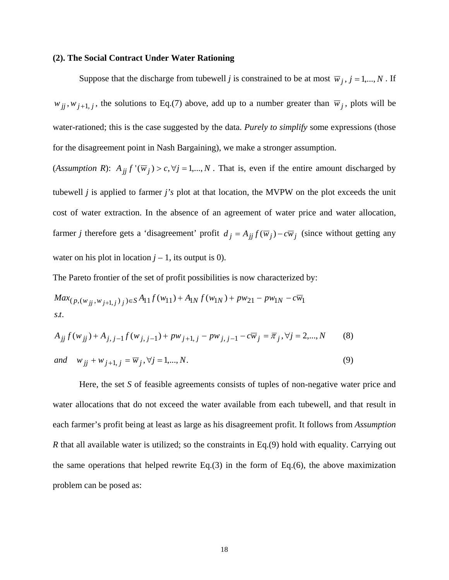#### **(2). The Social Contract Under Water Rationing**

Suppose that the discharge from tubewell *j* is constrained to be at most  $\overline{w}_j$ ,  $j = 1,..., N$ . If  $w_{jj}, w_{j+1, j}$ , the solutions to Eq.(7) above, add up to a number greater than  $\overline{w}_j$ , plots will be water-rationed; this is the case suggested by the data. *Purely to simplify* some expressions (those for the disagreement point in Nash Bargaining), we make a stronger assumption.

(*Assumption R*):  $A_{jj} f'(\overline{w}_j) > c, \forall j = 1,..., N$ . That is, even if the entire amount discharged by tubewell *j* is applied to farmer *j's* plot at that location, the MVPW on the plot exceeds the unit cost of water extraction. In the absence of an agreement of water price and water allocation, farmer *j* therefore gets a 'disagreement' profit  $d_j = A_{jj} f(\overline{w}_j) - c\overline{w}_j$  (since without getting any water on his plot in location  $j - 1$ , its output is 0).

The Pareto frontier of the set of profit possibilities is now characterized by:

$$
Max_{(p,(w_{jj},w_{j+1,j})_j)\in S}A_{11}f(w_{11})+A_{1N}f(w_{1N})+pw_{21}-pw_{1N}-c\overline{w}_1
$$
  
s.t.

$$
A_{jj} f(w_{jj}) + A_{j,j-1} f(w_{j,j-1}) + p w_{j+1,j} - p w_{j,j-1} - c \overline{w}_j = \overline{\pi}_j, \forall j = 2,...,N
$$
 (8)

 $and \t w_{jj} + w_{j+1, j} = \overline{w}_j, \forall j = 1,..., N.$  (9)

Here, the set *S* of feasible agreements consists of tuples of non-negative water price and water allocations that do not exceed the water available from each tubewell, and that result in each farmer's profit being at least as large as his disagreement profit. It follows from *Assumption R* that all available water is utilized; so the constraints in Eq.(9) hold with equality. Carrying out the same operations that helped rewrite Eq.(3) in the form of Eq.(6), the above maximization problem can be posed as: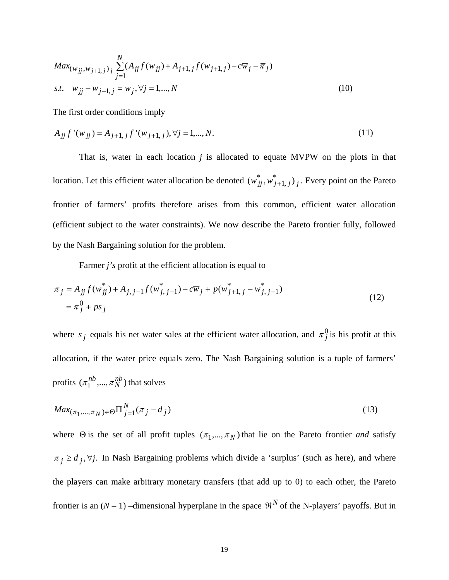$$
Max_{(w_{jj}, w_{j+1, j})_j} \sum_{j=1}^N (A_{jj} f(w_{jj}) + A_{j+1, j} f(w_{j+1, j}) - c\overline{w}_j - \overline{\pi}_j)
$$
  
s.t.  $w_{jj} + w_{j+1, j} = \overline{w}_j, \forall j = 1, ..., N$  (10)

The first order conditions imply

$$
A_{jj} f'(w_{jj}) = A_{j+1,j} f'(w_{j+1,j}), \forall j = 1,..., N.
$$
\n(11)

That is, water in each location *j* is allocated to equate MVPW on the plots in that location. Let this efficient water allocation be denoted  $(w_{jj}^*, w_{j+1, j}^*)_j$ . Every point on the Pareto frontier of farmers' profits therefore arises from this common, efficient water allocation (efficient subject to the water constraints). We now describe the Pareto frontier fully, followed by the Nash Bargaining solution for the problem.

Farmer *j's* profit at the efficient allocation is equal to

$$
\pi_j = A_{jj} f(w_{jj}^*) + A_{j,j-1} f(w_{j,j-1}^*) - c \overline{w}_j + p(w_{j+1,j}^* - w_{j,j-1}^*)
$$
  
=  $\pi_j^0 + ps_j$  (12)

where  $s_j$  equals his net water sales at the efficient water allocation, and  $\pi_j^0$  is his profit at this allocation, if the water price equals zero. The Nash Bargaining solution is a tuple of farmers' profits  $(\pi_1^{nb}, ..., \pi_N^{nb})$  that solves  $\pi_1^{nb},...,\pi_N^{nb}$ 

$$
Max_{(\pi_1, ..., \pi_N) \in \Theta} \Pi_{j=1}^N (\pi_j - d_j)
$$
\n(13)

where  $\Theta$  is the set of all profit tuples  $(\pi_1, ..., \pi_N)$  that lie on the Pareto frontier *and* satisfy  $\pi_j \ge d_j$ ,  $\forall j$ . In Nash Bargaining problems which divide a 'surplus' (such as here), and where the players can make arbitrary monetary transfers (that add up to 0) to each other, the Pareto frontier is an  $(N-1)$  –dimensional hyperplane in the space  $\mathfrak{R}^N$  of the N-players' payoffs. But in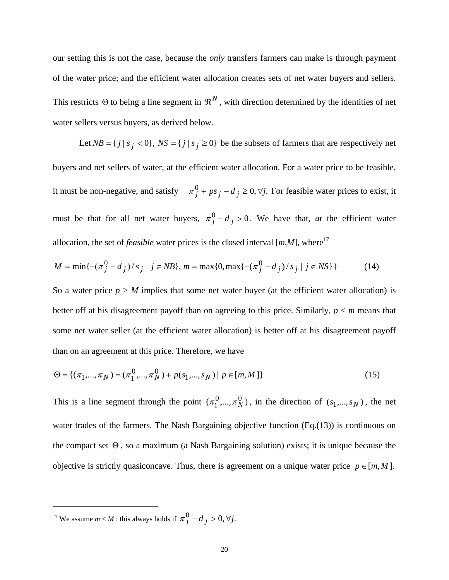our setting this is not the case, because the *only* transfers farmers can make is through payment of the water price; and the efficient water allocation creates sets of net water buyers and sellers. This restricts  $\Theta$  to being a line segment in  $\mathfrak{R}^N$ , with direction determined by the identities of net water sellers versus buyers, as derived below.

Let  $NB = \{ j \mid s_j < 0 \}$ ,  $NS = \{ j \mid s_j \ge 0 \}$  be the subsets of farmers that are respectively net buyers and net sellers of water, at the efficient water allocation. For a water price to be feasible, it must be non-negative, and satisfy  $\pi_j^0 + ps_j - d_j \ge 0, \forall j$ . For feasible water prices to exist, it must be that for all net water buyers,  $\pi_j^0 - d_j > 0$ . We have that, *at* the efficient water allocation, the set of *feasible* water prices is the closed interval [*m,M*], where [17](#page-21-0)

$$
M = \min\{-(\pi_j^0 - d_j)/s_j \mid j \in NB\}, m = \max\{0, \max\{-(\pi_j^0 - d_j)/s_j \mid j \in NS\}\}\
$$
 (14)

So a water price  $p > M$  implies that some net water buyer (at the efficient water allocation) is better off at his disagreement payoff than on agreeing to this price. Similarly, *p* < *m* means that some net water seller (at the efficient water allocation) is better off at his disagreement payoff than on an agreement at this price. Therefore, we have

$$
\Theta = \{ (\pi_1, ..., \pi_N) = (\pi_1^0, ..., \pi_N^0) + p(s_1, ..., s_N) \mid p \in [m, M] \}
$$
\n(15)

This is a line segment through the point  $(\pi_1^0, ..., \pi_N^0)$ , in the direction of  $(s_1,...,s_N)$ , the net water trades of the farmers. The Nash Bargaining objective function (Eq.(13)) is continuous on the compact set  $\Theta$ , so a maximum (a Nash Bargaining solution) exists; it is unique because the objective is strictly quasiconcave. Thus, there is agreement on a unique water price  $p \in [m, M]$ .

<span id="page-21-0"></span><sup>17</sup> We assume *m* < *M* : this always holds if  $\pi_j^0 - d_j > 0$ ,  $\forall j$ .

l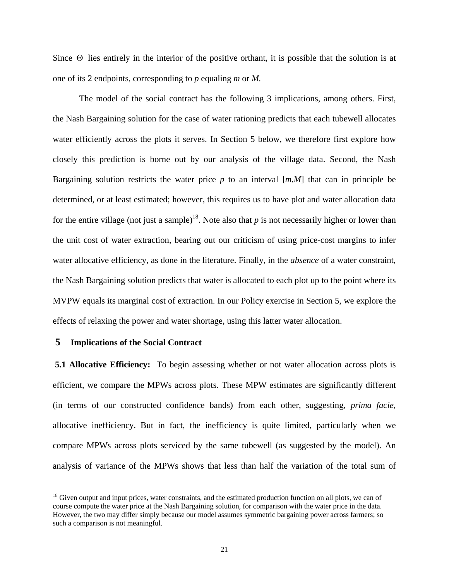Since  $\Theta$  lies entirely in the interior of the positive orthant, it is possible that the solution is at one of its 2 endpoints, corresponding to *p* equaling *m* or *M.*

The model of the social contract has the following 3 implications, among others. First, the Nash Bargaining solution for the case of water rationing predicts that each tubewell allocates water efficiently across the plots it serves. In Section 5 below, we therefore first explore how closely this prediction is borne out by our analysis of the village data. Second, the Nash Bargaining solution restricts the water price *p* to an interval [*m,M*] that can in principle be determined, or at least estimated; however, this requires us to have plot and water allocation data for the entire village (not just a sample)<sup>18</sup>. Note also that  $p$  is not necessarily higher or lower than the unit cost of water extraction, bearing out our criticism of using price-cost margins to infer water allocative efficiency, as done in the literature. Finally, in the *absence* of a water constraint, the Nash Bargaining solution predicts that water is allocated to each plot up to the point where its MVPW equals its marginal cost of extraction. In our Policy exercise in Section 5, we explore the effects of relaxing the power and water shortage, using this latter water allocation.

## **5 Implications of the Social Contract**

**5.1 Allocative Efficiency:** To begin assessing whether or not water allocation across plots is efficient, we compare the MPWs across plots. These MPW estimates are significantly different (in terms of our constructed confidence bands) from each other, suggesting, *prima facie,* allocative inefficiency. But in fact, the inefficiency is quite limited, particularly when we compare MPWs across plots serviced by the same tubewell (as suggested by the model). An analysis of variance of the MPWs shows that less than half the variation of the total sum of

<span id="page-22-0"></span><sup>&</sup>lt;sup>18</sup> Given output and input prices, water constraints, and the estimated production function on all plots, we can of course compute the water price at the Nash Bargaining solution, for comparison with the water price in the data. However, the two may differ simply because our model assumes symmetric bargaining power across farmers; so such a comparison is not meaningful.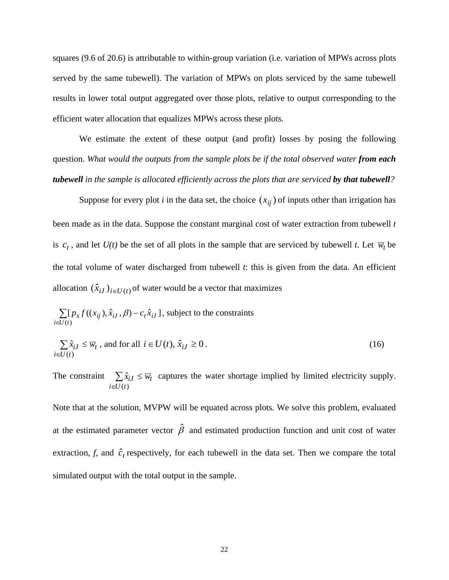squares (9.6 of 20.6) is attributable to within-group variation (i.e. variation of MPWs across plots served by the same tubewell). The variation of MPWs on plots serviced by the same tubewell results in lower total output aggregated over those plots, relative to output corresponding to the efficient water allocation that equalizes MPWs across these plots.

We estimate the extent of these output (and profit) losses by posing the following question. *What would the outputs from the sample plots be if the total observed water from each tubewell in the sample is allocated efficiently across the plots that are serviced by that tubewell?* 

Suppose for every plot *i* in the data set, the choice  $(x_{ij})$  of inputs other than irrigation has been made as in the data. Suppose the constant marginal cost of water extraction from tubewell *t* is  $c_t$ , and let  $U(t)$  be the set of all plots in the sample that are serviced by tubewell *t*. Let  $\overline{w}_t$  be the total volume of water discharged from tubewell *t*: this is given from the data. An efficient allocation  $(\hat{x}_{iJ})_{i\in U(t)}$  of water would be a vector that maximizes

∑ ∈ −  $(t)$  $[p_s f((x_{ii}), \hat{x}_{iI}, \beta) - c_t \hat{x}_{iI}]$ *i* ∈*U* (*t*  $p_s f((x_{ij}), \hat{x}_{iJ}, \beta) - c_t \hat{x}_{iJ}$ , subject to the constraints

$$
\sum_{i \in U(t)} \hat{x}_{iJ} \le \overline{w}_t \text{, and for all } i \in U(t), \hat{x}_{iJ} \ge 0. \tag{16}
$$

The constraint  $\sum$ ∈ ≤  $(t)$ ˆ  $i \in U(t)$  $\hat{x}_{iJ} \leq \overline{w}_t$  captures the water shortage implied by limited electricity supply.

Note that at the solution, MVPW will be equated across plots. We solve this problem, evaluated at the estimated parameter vector  $\hat{\beta}$  and estimated production function and unit cost of water extraction, *f*, and  $\hat{c}_t$  respectively, for each tubewell in the data set. Then we compare the total simulated output with the total output in the sample.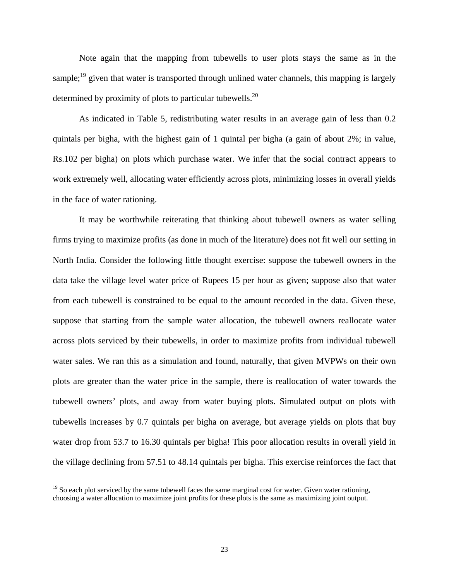Note again that the mapping from tubewells to user plots stays the same as in the sample;<sup>19</sup> given that water is transported through unlined water channels, this mapping is largely determined by proximity of plots to particular tubewells.<sup>[20](#page-24-1)</sup>

As indicated in Table 5, redistributing water results in an average gain of less than 0.2 quintals per bigha, with the highest gain of 1 quintal per bigha (a gain of about 2%; in value, Rs.102 per bigha) on plots which purchase water. We infer that the social contract appears to work extremely well, allocating water efficiently across plots, minimizing losses in overall yields in the face of water rationing.

It may be worthwhile reiterating that thinking about tubewell owners as water selling firms trying to maximize profits (as done in much of the literature) does not fit well our setting in North India. Consider the following little thought exercise: suppose the tubewell owners in the data take the village level water price of Rupees 15 per hour as given; suppose also that water from each tubewell is constrained to be equal to the amount recorded in the data. Given these, suppose that starting from the sample water allocation, the tubewell owners reallocate water across plots serviced by their tubewells, in order to maximize profits from individual tubewell water sales. We ran this as a simulation and found, naturally, that given MVPWs on their own plots are greater than the water price in the sample, there is reallocation of water towards the tubewell owners' plots, and away from water buying plots. Simulated output on plots with tubewells increases by 0.7 quintals per bigha on average, but average yields on plots that buy water drop from 53.7 to 16.30 quintals per bigha! This poor allocation results in overall yield in the village declining from 57.51 to 48.14 quintals per bigha. This exercise reinforces the fact that

<span id="page-24-1"></span><span id="page-24-0"></span><sup>&</sup>lt;sup>19</sup> So each plot serviced by the same tubewell faces the same marginal cost for water. Given water rationing, choosing a water allocation to maximize joint profits for these plots is the same as maximizing joint output.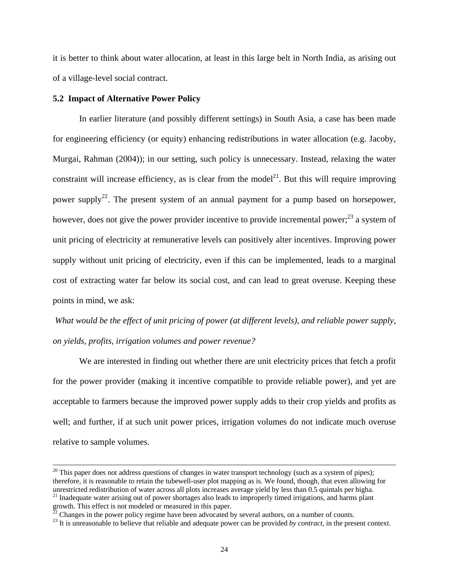it is better to think about water allocation, at least in this large belt in North India, as arising out of a village-level social contract.

#### **5.2 Impact of Alternative Power Policy**

In earlier literature (and possibly different settings) in South Asia, a case has been made for engineering efficiency (or equity) enhancing redistributions in water allocation (e.g. Jacoby, Murgai, Rahman (2004)); in our setting, such policy is unnecessary. Instead, relaxing the water constraint will increase efficiency, as is clear from the model<sup>21</sup>. But this will require improving power supply<sup>22</sup>. The present system of an annual payment for a pump based on horsepower, however, does not give the power provider incentive to provide incremental power;<sup>23</sup> a system of unit pricing of electricity at remunerative levels can positively alter incentives. Improving power supply without unit pricing of electricity, even if this can be implemented, leads to a marginal cost of extracting water far below its social cost, and can lead to great overuse. Keeping these points in mind, we ask:

*What would be the effect of unit pricing of power (at different levels), and reliable power supply, on yields, profits, irrigation volumes and power revenue?* 

We are interested in finding out whether there are unit electricity prices that fetch a profit for the power provider (making it incentive compatible to provide reliable power), and yet are acceptable to farmers because the improved power supply adds to their crop yields and profits as well; and further, if at such unit power prices, irrigation volumes do not indicate much overuse relative to sample volumes.

 $20$  This paper does not address questions of changes in water transport technology (such as a system of pipes); therefore, it is reasonable to retain the tubewell-user plot mapping as is. We found, though, that even allowing for unrestricted redistribution of water across all plots increases average yield by less than 0.5 quintals p <sup>21</sup> Inadequate water arising out of power shortages also leads to improperly timed irrigations, and harms plant

<span id="page-25-2"></span><span id="page-25-1"></span>

<span id="page-25-0"></span>growth. This effect is not modeled or measured in this paper.<br><sup>22</sup> Changes in the power policy regime have been advocated by several authors, on a number of counts.<br><sup>23</sup> It is unreasonable to believe that reliable and adeq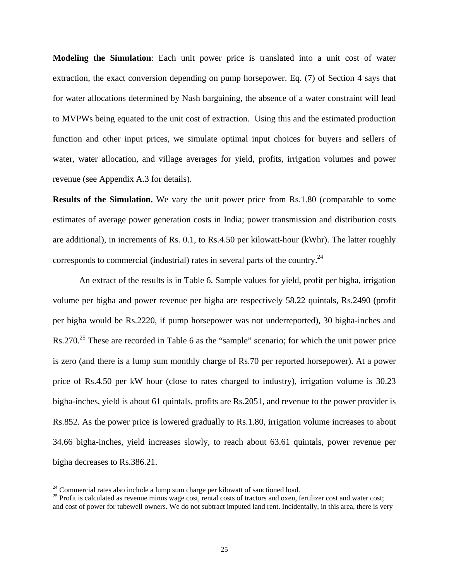**Modeling the Simulation**: Each unit power price is translated into a unit cost of water extraction, the exact conversion depending on pump horsepower. Eq. (7) of Section 4 says that for water allocations determined by Nash bargaining, the absence of a water constraint will lead to MVPWs being equated to the unit cost of extraction. Using this and the estimated production function and other input prices, we simulate optimal input choices for buyers and sellers of water, water allocation, and village averages for yield, profits, irrigation volumes and power revenue (see Appendix A.3 for details).

**Results of the Simulation.** We vary the unit power price from Rs.1.80 (comparable to some estimates of average power generation costs in India; power transmission and distribution costs are additional), in increments of Rs. 0.1, to Rs.4.50 per kilowatt-hour (kWhr). The latter roughly corresponds to commercial (industrial) rates in several parts of the country.<sup>[24](#page-26-0)</sup>

An extract of the results is in Table 6. Sample values for yield, profit per bigha, irrigation volume per bigha and power revenue per bigha are respectively 58.22 quintals, Rs.2490 (profit per bigha would be Rs.2220, if pump horsepower was not underreported), 30 bigha-inches and  $\text{Rs.270.}^{25}$  These are recorded in Table 6 as the "sample" scenario; for which the unit power price is zero (and there is a lump sum monthly charge of Rs.70 per reported horsepower). At a power price of Rs.4.50 per kW hour (close to rates charged to industry), irrigation volume is 30.23 bigha-inches, yield is about 61 quintals, profits are Rs.2051, and revenue to the power provider is Rs.852. As the power price is lowered gradually to Rs.1.80, irrigation volume increases to about 34.66 bigha-inches, yield increases slowly, to reach about 63.61 quintals, power revenue per bigha decreases to Rs.386.21.

<span id="page-26-1"></span><span id="page-26-0"></span>

<sup>&</sup>lt;sup>24</sup> Commercial rates also include a lump sum charge per kilowatt of sanctioned load.<br><sup>25</sup> Profit is calculated as revenue minus wage cost, rental costs of tractors and oxen, fertilizer cost and water cost; and cost of power for tubewell owners. We do not subtract imputed land rent. Incidentally, in this area, there is very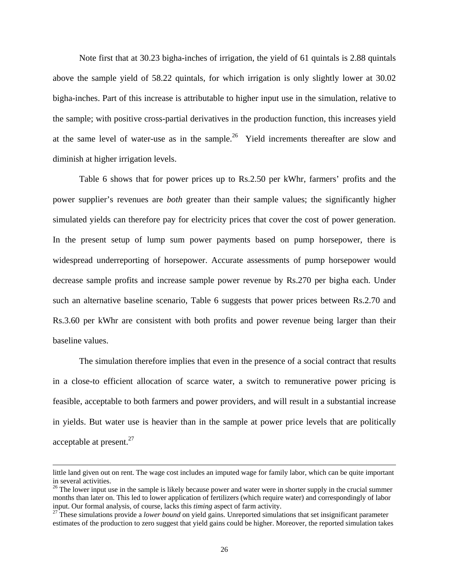Note first that at 30.23 bigha-inches of irrigation, the yield of 61 quintals is 2.88 quintals above the sample yield of 58.22 quintals, for which irrigation is only slightly lower at 30.02 bigha-inches. Part of this increase is attributable to higher input use in the simulation, relative to the sample; with positive cross-partial derivatives in the production function, this increases yield at the same level of water-use as in the sample.<sup>26</sup> Yield increments thereafter are slow and diminish at higher irrigation levels.

Table 6 shows that for power prices up to Rs.2.50 per kWhr, farmers' profits and the power supplier's revenues are *both* greater than their sample values; the significantly higher simulated yields can therefore pay for electricity prices that cover the cost of power generation. In the present setup of lump sum power payments based on pump horsepower, there is widespread underreporting of horsepower. Accurate assessments of pump horsepower would decrease sample profits and increase sample power revenue by Rs.270 per bigha each. Under such an alternative baseline scenario, Table 6 suggests that power prices between Rs.2.70 and Rs.3.60 per kWhr are consistent with both profits and power revenue being larger than their baseline values.

The simulation therefore implies that even in the presence of a social contract that results in a close-to efficient allocation of scarce water, a switch to remunerative power pricing is feasible, acceptable to both farmers and power providers, and will result in a substantial increase in yields. But water use is heavier than in the sample at power price levels that are politically acceptable at present. $27$ 

 $\overline{\phantom{a}}$ 

little land given out on rent. The wage cost includes an imputed wage for family labor, which can be quite important in several activities.

<span id="page-27-0"></span><sup>&</sup>lt;sup>26</sup> The lower input use in the sample is likely because power and water were in shorter supply in the crucial summer months than later on. This led to lower application of fertilizers (which require water) and correspondingly of labor input. Our formal analysis, of course, lacks this *timing* aspect of farm activity. 27 These simulations provide a *lower bound* on yield gains. Unreported simulations that set insignificant parameter

<span id="page-27-1"></span>estimates of the production to zero suggest that yield gains could be higher. Moreover, the reported simulation takes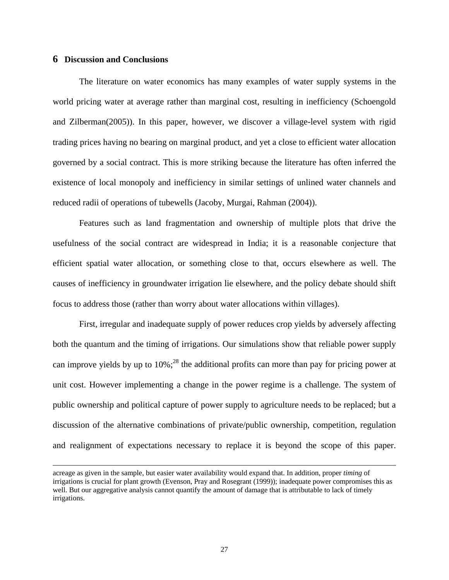#### **6 Discussion and Conclusions**

 $\overline{a}$ 

The literature on water economics has many examples of water supply systems in the world pricing water at average rather than marginal cost, resulting in inefficiency (Schoengold and Zilberman(2005)). In this paper, however, we discover a village-level system with rigid trading prices having no bearing on marginal product, and yet a close to efficient water allocation governed by a social contract. This is more striking because the literature has often inferred the existence of local monopoly and inefficiency in similar settings of unlined water channels and reduced radii of operations of tubewells (Jacoby, Murgai, Rahman (2004)).

Features such as land fragmentation and ownership of multiple plots that drive the usefulness of the social contract are widespread in India; it is a reasonable conjecture that efficient spatial water allocation, or something close to that, occurs elsewhere as well. The causes of inefficiency in groundwater irrigation lie elsewhere, and the policy debate should shift focus to address those (rather than worry about water allocations within villages).

First, irregular and inadequate supply of power reduces crop yields by adversely affecting both the quantum and the timing of irrigations. Our simulations show that reliable power supply can improve yields by up to  $10\%$ ;<sup>28</sup> the additional profits can more than pay for pricing power at unit cost. However implementing a change in the power regime is a challenge. The system of public ownership and political capture of power supply to agriculture needs to be replaced; but a discussion of the alternative combinations of private/public ownership, competition, regulation and realignment of expectations necessary to replace it is beyond the scope of this paper.

<span id="page-28-0"></span>acreage as given in the sample, but easier water availability would expand that. In addition, proper *timing* of irrigations is crucial for plant growth (Evenson, Pray and Rosegrant (1999)); inadequate power compromises this as well. But our aggregative analysis cannot quantify the amount of damage that is attributable to lack of timely irrigations.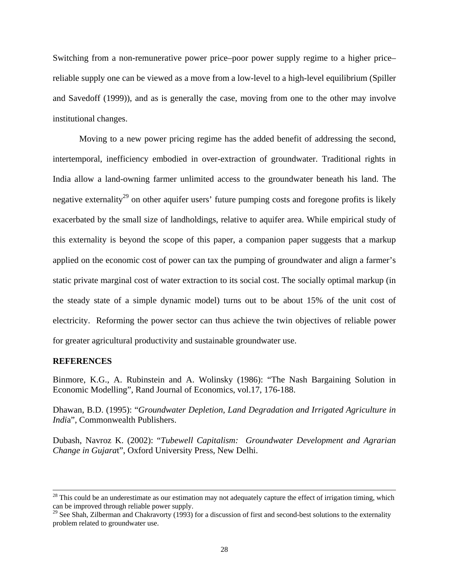Switching from a non-remunerative power price–poor power supply regime to a higher price– reliable supply one can be viewed as a move from a low-level to a high-level equilibrium (Spiller and Savedoff (1999)), and as is generally the case, moving from one to the other may involve institutional changes.

Moving to a new power pricing regime has the added benefit of addressing the second, intertemporal, inefficiency embodied in over-extraction of groundwater. Traditional rights in India allow a land-owning farmer unlimited access to the groundwater beneath his land. The negative externality<sup>29</sup> on other aquifer users' future pumping costs and foregone profits is likely exacerbated by the small size of landholdings, relative to aquifer area. While empirical study of this externality is beyond the scope of this paper, a companion paper suggests that a markup applied on the economic cost of power can tax the pumping of groundwater and align a farmer's static private marginal cost of water extraction to its social cost. The socially optimal markup (in the steady state of a simple dynamic model) turns out to be about 15% of the unit cost of electricity. Reforming the power sector can thus achieve the twin objectives of reliable power for greater agricultural productivity and sustainable groundwater use.

#### **REFERENCES**

Binmore, K.G., A. Rubinstein and A. Wolinsky (1986): "The Nash Bargaining Solution in Economic Modelling", Rand Journal of Economics, vol.17, 176-188.

Dhawan, B.D. (1995): "*Groundwater Depletion, Land Degradation and Irrigated Agriculture in Indi*a", Commonwealth Publishers.

Dubash, Navroz K. (2002): "*Tubewell Capitalism: Groundwater Development and Agrarian Change in Gujara*t", Oxford University Press, New Delhi.

 $28$  This could be an underestimate as our estimation may not adequately capture the effect of irrigation timing, which can be improved through reliable power supply.

<span id="page-29-0"></span> $^{29}$  See Shah, Zilberman and Chakravorty (1993) for a discussion of first and second-best solutions to the externality problem related to groundwater use.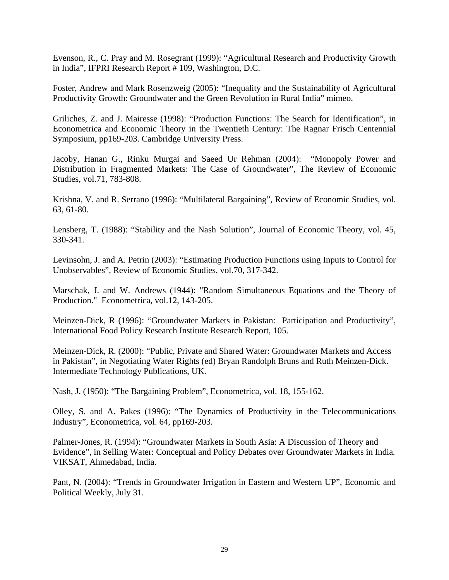Evenson, R., C. Pray and M. Rosegrant (1999): "Agricultural Research and Productivity Growth in India", IFPRI Research Report # 109, Washington, D.C.

Foster, Andrew and Mark Rosenzweig (2005): "Inequality and the Sustainability of Agricultural Productivity Growth: Groundwater and the Green Revolution in Rural India" mimeo.

Griliches, Z. and J. Mairesse (1998): "Production Functions: The Search for Identification", in Econometrica and Economic Theory in the Twentieth Century: The Ragnar Frisch Centennial Symposium, pp169-203. Cambridge University Press.

Jacoby, Hanan G., Rinku Murgai and Saeed Ur Rehman (2004): "Monopoly Power and Distribution in Fragmented Markets: The Case of Groundwater", The Review of Economic Studies, vol.71, 783-808.

Krishna, V. and R. Serrano (1996): "Multilateral Bargaining", Review of Economic Studies, vol. 63, 61-80.

Lensberg, T. (1988): "Stability and the Nash Solution", Journal of Economic Theory, vol. 45, 330-341.

Levinsohn, J. and A. Petrin (2003): "Estimating Production Functions using Inputs to Control for Unobservables", Review of Economic Studies, vol.70, 317-342.

Marschak, J. and W. Andrews (1944): "Random Simultaneous Equations and the Theory of Production." Econometrica, vol.12, 143-205.

Meinzen-Dick, R (1996): "Groundwater Markets in Pakistan: Participation and Productivity", International Food Policy Research Institute Research Report, 105.

Meinzen-Dick, R. (2000): "Public, Private and Shared Water: Groundwater Markets and Access in Pakistan", in Negotiating Water Rights (ed) Bryan Randolph Bruns and Ruth Meinzen-Dick. Intermediate Technology Publications, UK.

Nash, J. (1950): "The Bargaining Problem", Econometrica, vol. 18, 155-162.

Olley, S. and A. Pakes (1996): "The Dynamics of Productivity in the Telecommunications Industry", Econometrica, vol. 64, pp169-203.

Palmer-Jones, R. (1994): "Groundwater Markets in South Asia: A Discussion of Theory and Evidence", in Selling Water: Conceptual and Policy Debates over Groundwater Markets in India*.* VIKSAT, Ahmedabad, India.

Pant, N. (2004): "Trends in Groundwater Irrigation in Eastern and Western UP", Economic and Political Weekly, July 31.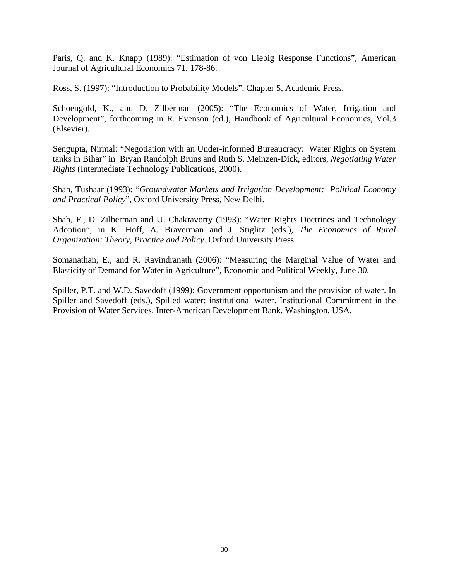Paris, Q. and K. Knapp (1989): "Estimation of von Liebig Response Functions", American Journal of Agricultural Economics 71, 178-86.

Ross, S. (1997): "Introduction to Probability Models", Chapter 5, Academic Press.

Schoengold, K., and D. Zilberman (2005): "The Economics of Water, Irrigation and Development", forthcoming in R. Evenson (ed.), Handbook of Agricultural Economics, Vol.3 (Elsevier).

Sengupta, Nirmal: "Negotiation with an Under-informed Bureaucracy: Water Rights on System tanks in Bihar" in Bryan Randolph Bruns and Ruth S. Meinzen-Dick, editors, *Negotiating Water Rights* (Intermediate Technology Publications, 2000).

Shah, Tushaar (1993): "*Groundwater Markets and Irrigation Development: Political Economy and Practical Policy*", Oxford University Press, New Delhi.

Shah, F., D. Zilberman and U. Chakravorty (1993): "Water Rights Doctrines and Technology Adoption", in K. Hoff, A. Braverman and J. Stiglitz (eds.), *The Economics of Rural Organization: Theory, Practice and Policy*. Oxford University Press.

Somanathan, E., and R. Ravindranath (2006): "Measuring the Marginal Value of Water and Elasticity of Demand for Water in Agriculture", Economic and Political Weekly, June 30.

Spiller, P.T. and W.D. Savedoff (1999): Government opportunism and the provision of water. In Spiller and Savedoff (eds.), Spilled water: institutional water. Institutional Commitment in the Provision of Water Services. Inter-American Development Bank. Washington, USA.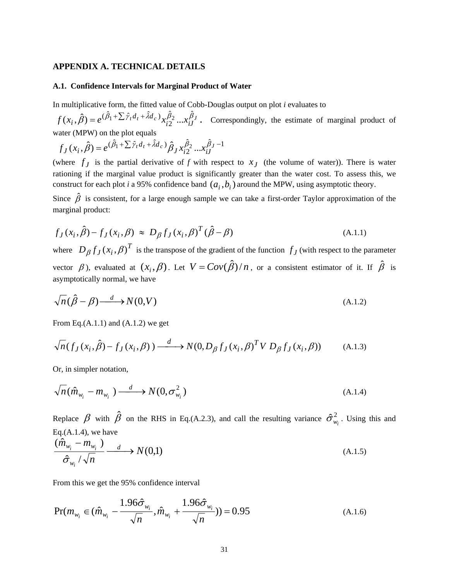#### **APPENDIX A. TECHNICAL DETAILS**

#### **A.1. Confidence Intervals for Marginal Product of Water**

In multiplicative form, the fitted value of Cobb-Douglas output on plot *i* evaluates to

 $\int_0^{t} t^{a} t^{+A a_c} x_{i2}^{b_1} ... x_{iJ}^{b_J}$ . Correspondingly, the estimate of marginal product of water (MPW) on the plot equals  $f(x_i, \hat{\beta}) = e^{(\hat{\beta}_1 + \sum \hat{y}_t d_t + \hat{\lambda} d_c)} x_{i2}^{\hat{\beta}_2} ... x_{iJ}^{\hat{\beta}_l}$ 

 $f_J(x_i, \hat{\beta}) = e^{(\hat{\beta}_1 + \sum \hat{\gamma}_t d_t + \hat{\lambda} d_c)} \hat{\beta}_J x_{i2}^{\hat{\beta}_2} ... x_{iJ}^{\hat{\beta}_J - 1}$  $f_J(x_i, \hat{\beta}) = e^{(\hat{\beta}_1 + \sum \hat{\gamma}_t d_t + \hat{\lambda} d_c)} \hat{\beta}_J x_{i2}^{\hat{\beta}_2} ... x_{iJ}^{\beta}$ 

(where  $f_j$  is the partial derivative of *f* with respect to  $x_j$  (the volume of water)). There is water rationing if the marginal value product is significantly greater than the water cost. To assess this, we construct for each plot *i* a 95% confidence band  $(a_i, b_i)$  around the MPW, using asymptotic theory.

Since  $\hat{\beta}$  is consistent, for a large enough sample we can take a first-order Taylor approximation of the marginal product:

$$
f_J(x_i, \hat{\beta}) - f_J(x_i, \beta) \approx D_{\beta} f_J(x_i, \beta)^T (\hat{\beta} - \beta)
$$
\n(A.1.1)

where  $D_{\beta} f_J(x_i, \beta)^T$  is the transpose of the gradient of the function  $f_J$  (with respect to the parameter vector  $\beta$ ), evaluated at  $(x_i, \beta)$ . Let  $V = Cov(\hat{\beta})/n$ , or a consistent estimator of it. If  $\hat{\beta}$  is asymptotically normal, we have

$$
\sqrt{n}(\hat{\beta} - \beta) \xrightarrow{d} N(0, V) \tag{A.1.2}
$$

From Eq. $(A.1.1)$  and  $(A.1.2)$  we get

$$
\sqrt{n}(f_J(x_i,\hat{\beta}) - f_J(x_i,\beta)) \xrightarrow{d} N(0,D_{\beta}f_J(x_i,\beta)^T V D_{\beta}f_J(x_i,\beta)) \tag{A.1.3}
$$

Or, in simpler notation,

$$
\sqrt{n}(\hat{m}_{w_i} - m_{w_i}) \xrightarrow{d} N(0, \sigma_{w_i}^2)
$$
\n(A.1.4)

Replace  $\beta$  with  $\hat{\beta}$  on the RHS in Eq.(A.2.3), and call the resulting variance  $\hat{\sigma}^2_{w_i}$ . Using this and Eq. $(A.1.4)$ , we have

$$
\frac{(\hat{m}_{w_i} - m_{w_i})}{\hat{\sigma}_{w_i}/\sqrt{n}} \xrightarrow{d} N(0,1) \tag{A.1.5}
$$

From this we get the 95% confidence interval

$$
\Pr(m_{w_i} \in (\hat{m}_{w_i} - \frac{1.96\hat{\sigma}_{w_i}}{\sqrt{n}}, \hat{m}_{w_i} + \frac{1.96\hat{\sigma}_{w_i}}{\sqrt{n}})) = 0.95
$$
\n(A.1.6)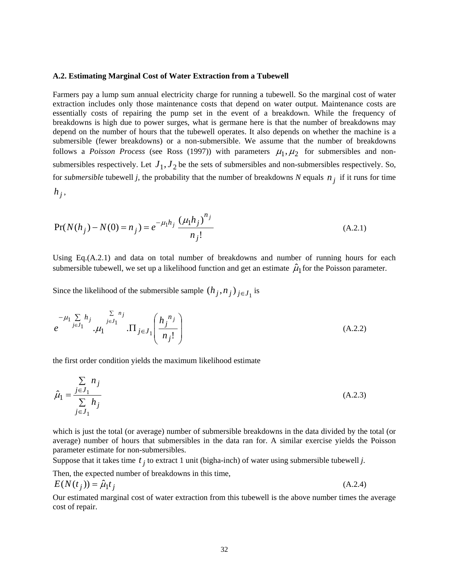#### **A.2. Estimating Marginal Cost of Water Extraction from a Tubewell**

Farmers pay a lump sum annual electricity charge for running a tubewell. So the marginal cost of water extraction includes only those maintenance costs that depend on water output. Maintenance costs are essentially costs of repairing the pump set in the event of a breakdown. While the frequency of breakdowns is high due to power surges, what is germane here is that the number of breakdowns may depend on the number of hours that the tubewell operates. It also depends on whether the machine is a submersible (fewer breakdowns) or a non-submersible. We assume that the number of breakdowns follows a *Poisson Process* (see Ross (1997)) with parameters  $\mu_1, \mu_2$  for submersibles and nonsubmersibles respectively. Let  $J_1, J_2$  be the sets of submersibles and non-submersibles respectively. So, for *submersible* tubewell *j*, the probability that the number of breakdowns *N* equals  $n_j$  if it runs for time  $h_j$ ,

$$
Pr(N(h_j) - N(0) = n_j) = e^{-\mu_1 h_j} \frac{(\mu_1 h_j)^{n_j}}{n_j!}
$$
\n(A.2.1)

Using Eq.(A.2.1) and data on total number of breakdowns and number of running hours for each submersible tubewell, we set up a likelihood function and get an estimate  $\hat{\mu}_1$  for the Poisson parameter.

Since the likelihood of the submersible sample  $(h_j, n_j)_{j \in J_1}$  is

$$
e^{-\mu_1 \sum_{j \in J_1} h_j} \cdot \mu_1 \prod_{j \in J_1}^{\sum n_j} \prod_{j \in J_1} \left( \frac{h_j^{n_j}}{n_j!} \right)
$$
 (A.2.2)

the first order condition yields the maximum likelihood estimate

$$
\hat{\mu}_1 = \frac{\sum\limits_{j \in J_1} n_j}{\sum\limits_{j \in J_1} h_j} \tag{A.2.3}
$$

which is just the total (or average) number of submersible breakdowns in the data divided by the total (or average) number of hours that submersibles in the data ran for. A similar exercise yields the Poisson parameter estimate for non-submersibles.

Suppose that it takes time  $t_j$  to extract 1 unit (bigha-inch) of water using submersible tubewell *j*.

Then, the expected number of breakdowns in this time,

$$
E(N(t_j)) = \hat{\mu}_1 t_j \tag{A.2.4}
$$

Our estimated marginal cost of water extraction from this tubewell is the above number times the average cost of repair.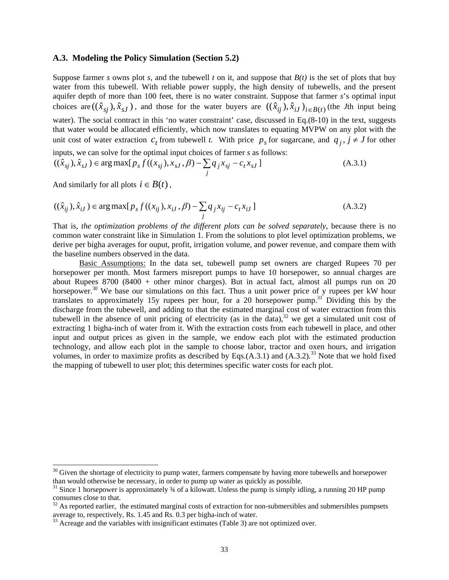#### **A.3. Modeling the Policy Simulation (Section 5.2)**

Suppose farmer *s* owns plot *s*, and the tubewell *t* on it, and suppose that  $B(t)$  is the set of plots that buy water from this tubewell. With reliable power supply, the high density of tubewells, and the present aquifer depth of more than 100 feet, there is no water constraint. Suppose that farmer *s*'s optimal input choices are  $((\hat{x}_{sj}), \hat{x}_{sJ})$ , and those for the water buyers are  $((\hat{x}_{ij}), \hat{x}_{iJ})_{i \in B(t)}$  (the *J*th input being water). The social contract in this 'no water constraint' case, discussed in Eq.(8-10) in the text, suggests that water would be allocated efficiently, which now translates to equating MVPW on any plot with the unit cost of water extraction  $c_t$  from tubewell *t*. With price  $p_s$  for sugarcane, and  $q_j$ ,  $j \neq J$  for other

inputs, we can solve for the optimal input choices of farmer *s* as follows:

$$
((\hat{x}_{sj}), \hat{x}_{sJ}) \in \arg \max [p_s f((x_{sj}), x_{sJ}, \beta) - \sum_j q_j x_{sj} - c_t x_{sJ}]
$$
\n(A.3.1)

And similarly for all plots  $i \in B(t)$ ,

$$
((\hat{x}_{ij}), \hat{x}_{iJ}) \in \arg \max[p_s f((x_{ij}), x_{iJ}, \beta) - \sum_j q_j x_{ij} - c_t x_{iJ}]
$$
\n(A.3.2)

That is, *the optimization problems of the different plots can be solved separately*, because there is no common water constraint like in Simulation 1. From the solutions to plot level optimization problems, we derive per bigha averages for ouput, profit, irrigation volume, and power revenue, and compare them with the baseline numbers observed in the data.

Basic Assumptions: In the data set, tubewell pump set owners are charged Rupees 70 per horsepower per month. Most farmers misreport pumps to have 10 horsepower, so annual charges are about Rupees  $8700 (8400 + other minor charges)$ . But in actual fact, almost all pumps run on 20 horsepower.<sup>30</sup> We base our simulations on this fact. Thus a unit power price of y rupees per kW hour translates to approximately 15y rupees per hour, for a 20 horsepower pump.<sup>31</sup> Dividing this by the discharge from the tubewell, and adding to that the estimated marginal cost of water extraction from this tubewell in the absence of unit pricing of electricity (as in the data), $32$  we get a simulated unit cost of extracting 1 bigha-inch of water from it. With the extraction costs from each tubewell in place, and other input and output prices as given in the sample, we endow each plot with the estimated production technology, and allow each plot in the sample to choose labor, tractor and oxen hours, and irrigation volumes, in order to maximize profits as described by Eqs. $(A.3.1)$  and  $(A.3.2)$ .<sup>33</sup> Note that we hold fixed the mapping of tubewell to user plot; this determines specific water costs for each plot.

<span id="page-34-0"></span> $30$  Given the shortage of electricity to pump water, farmers compensate by having more tubewells and horsepower than would otherwise be necessary, in order to pump up water as quickly as possible.

<span id="page-34-1"></span><sup>&</sup>lt;sup>31</sup> Since 1 horsepower is approximately  $\frac{3}{4}$  of a kilowatt. Unless the pump is simply idling, a running 20 HP pump consumes close to that.<br><sup>32</sup> As reported earlier, the estimated marginal costs of extraction for non-submersibles and submersibles pumpsets

<span id="page-34-2"></span>average to, respectively, Rs. 1.45 and Rs. 0.3 per bigha-inch of water.<br><sup>33</sup> Acreage and the variables with insignificant estimates (Table 3) are not optimized over.

<span id="page-34-3"></span>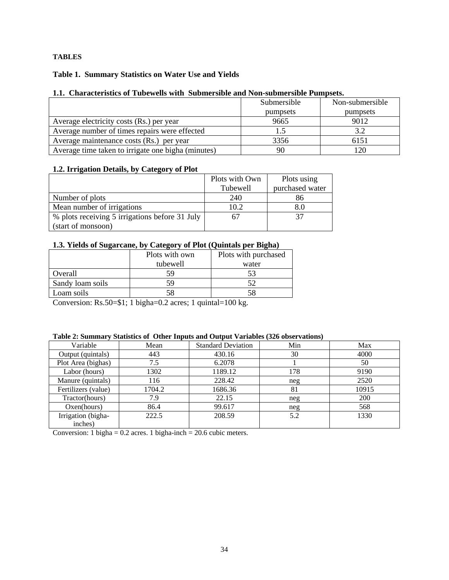## **TABLES**

## **Table 1. Summary Statistics on Water Use and Yields**

#### **1.1. Characteristics of Tubewells with Submersible and Non-submersible Pumpsets.**

|                                                    | Submersible | Non-submersible |
|----------------------------------------------------|-------------|-----------------|
|                                                    | pumpsets    | pumpsets        |
| Average electricity costs (Rs.) per year           | 9665        | 9012            |
| Average number of times repairs were effected      |             | 3.2             |
| Average maintenance costs (Rs.) per year           | 3356        | 6151            |
| Average time taken to irrigate one bigha (minutes) | 90          | $20^{\circ}$    |

#### **1.2. Irrigation Details, by Category of Plot**

|                                                | Plots with Own | Plots using     |
|------------------------------------------------|----------------|-----------------|
|                                                | Tubewell       | purchased water |
| Number of plots                                | 240            | 86              |
| Mean number of irrigations                     | 10.2           | 8.0             |
| % plots receiving 5 irrigations before 31 July |                | 37              |
| (start of monsoon)                             |                |                 |

#### **1.3. Yields of Sugarcane, by Category of Plot (Quintals per Bigha)**

|                  | Plots with own | Plots with purchased |
|------------------|----------------|----------------------|
|                  | tubewell       | water                |
| Overall          | 59             | 53                   |
| Sandy loam soils | 59             |                      |
| Loam soils       | 58             |                      |

Conversion: Rs.50=\$1; 1 bigha=0.2 acres; 1 quintal=100 kg.

#### **Table 2: Summary Statistics of Other Inputs and Output Variables (326 observations)**

| Variable            | Mean   | <b>Standard Deviation</b> | Min | Max   |
|---------------------|--------|---------------------------|-----|-------|
| Output (quintals)   | 443    | 430.16                    | 30  | 4000  |
| Plot Area (bighas)  | 7.5    | 6.2078                    |     | 50    |
| Labor (hours)       | 1302   | 1189.12                   | 178 | 9190  |
| Manure (quintals)   | 116    | 228.42                    | neg | 2520  |
| Fertilizers (value) | 1704.2 | 1686.36                   | 81  | 10915 |
| Tractor(hours)      | 7.9    | 22.15                     | neg | 200   |
| Oxen(hours)         | 86.4   | 99.617                    | neg | 568   |
| Irrigation (bigha-  | 222.5  | 208.59                    | 5.2 | 1330  |
| inches)             |        |                           |     |       |

Conversion: 1 bigha =  $0.2$  acres. 1 bigha-inch =  $20.6$  cubic meters.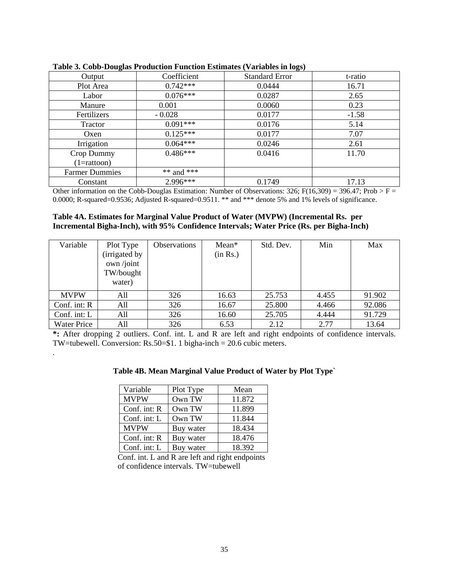| - - - <del>. .</del> - - |             | - 57                  |         |
|--------------------------|-------------|-----------------------|---------|
| Output                   | Coefficient | <b>Standard Error</b> | t-ratio |
| Plot Area                | $0.742***$  | 0.0444                | 16.71   |
| Labor                    | $0.076***$  | 0.0287                | 2.65    |
| Manure                   | 0.001       | 0.0060                | 0.23    |
| Fertilizers              | $-0.028$    | 0.0177                | $-1.58$ |
| <b>Tractor</b>           | $0.091***$  | 0.0176                | 5.14    |
| Oxen                     | $0.125***$  | 0.0177                | 7.07    |
| Irrigation               | $0.064***$  | 0.0246                | 2.61    |
| Crop Dummy               | $0.486***$  | 0.0416                | 11.70   |
| $(1 = \text{rattoon})$   |             |                       |         |
| <b>Farmer Dummies</b>    | ** and ***  |                       |         |
| Constant                 | 2.996***    | 0.1749                | 17.13   |

| Table 3. Cobb-Douglas Production Function Estimates (Variables in logs) |  |  |  |
|-------------------------------------------------------------------------|--|--|--|
|                                                                         |  |  |  |

Other information on the Cobb-Douglas Estimation: Number of Observations: 326; F(16,309) = 396.47; Prob > F = 0.0000; R-squared=0.9536; Adjusted R-squared=0.9511. \*\* and \*\*\* denote 5% and 1% levels of significance.

#### **Table 4A. Estimates for Marginal Value Product of Water (MVPW) (Incremental Rs. per Incremental Bigha-Inch), with 95% Confidence Intervals; Water Price (Rs. per Bigha-Inch)**

| Variable           | Plot Type<br>(irrigated by<br>own /joint<br>TW/bought<br>water) | Observations | Mean*<br>(in Rs.) | Std. Dev. | Min   | Max    |
|--------------------|-----------------------------------------------------------------|--------------|-------------------|-----------|-------|--------|
| <b>MVPW</b>        | All                                                             | 326          | 16.63             | 25.753    | 4.455 | 91.902 |
| Conf. int: $R$     | All                                                             | 326          | 16.67             | 25.800    | 4.466 | 92.086 |
| Conf. int: L       | All                                                             | 326          | 16.60             | 25.705    | 4.444 | 91.729 |
| <b>Water Price</b> | All                                                             | 326          | 6.53              | 2.12      | 2.77  | 13.64  |

**\*:** After dropping 2 outliers. Conf. int. L and R are left and right endpoints of confidence intervals. TW=tubewell. Conversion: Rs.50=\$1. 1 bigha-inch = 20.6 cubic meters.

|  | Table 4B. Mean Marginal Value Product of Water by Plot Type` |
|--|--------------------------------------------------------------|
|  |                                                              |

| Variable       | Plot Type | Mean   |
|----------------|-----------|--------|
| <b>MVPW</b>    | Own TW    | 11.872 |
| Conf. int: $R$ | Own TW    | 11.899 |
| Conf. int: $L$ | Own TW    | 11.844 |
| <b>MVPW</b>    | Buy water | 18.434 |
| Conf. int: R   | Buy water | 18.476 |
| Conf. int: L   | Buy water | 18.392 |

*.* 

Conf. int. L and R are left and right endpoints of confidence intervals. TW=tubewell